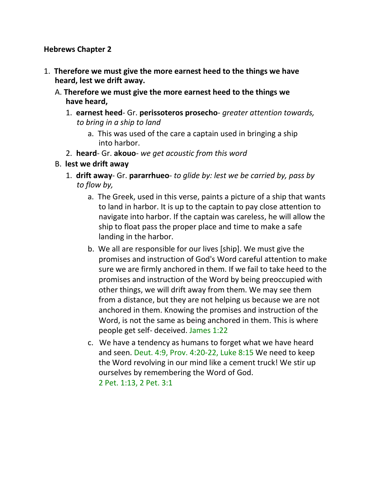#### **Hebrews Chapter 2**

- 1. **Therefore we must give the more earnest heed to the things we have heard, lest we drift away.**
	- A. **Therefore we must give the more earnest heed to the things we have heard,**
		- 1. **earnest heed** Gr. **perissoteros prosecho** *greater attention towards, to bring in a ship to land*
			- a. This was used of the care a captain used in bringing a ship into harbor.
		- 2. **heard** Gr. **akouo** *we get acoustic from this word*
	- B. **lest we drift away**
		- 1. **drift away** Gr. **pararrhueo** *to glide by: lest we be carried by, pass by to flow by,*
			- a. The Greek, used in this verse, paints a picture of a ship that wants to land in harbor. It is up to the captain to pay close attention to navigate into harbor. If the captain was careless, he will allow the ship to float pass the proper place and time to make a safe landing in the harbor.
			- b. We all are responsible for our lives [ship]. We must give the promises and instruction of God's Word careful attention to make sure we are firmly anchored in them. If we fail to take heed to the promises and instruction of the Word by being preoccupied with other things, we will drift away from them. We may see them from a distance, but they are not helping us because we are not anchored in them. Knowing the promises and instruction of the Word, is not the same as being anchored in them. This is where people get self- deceived. James 1:22
			- c. We have a tendency as humans to forget what we have heard and seen. Deut. 4:9, Prov. 4:20-22, Luke 8:15 We need to keep the Word revolving in our mind like a cement truck! We stir up ourselves by remembering the Word of God. 2 Pet. 1:13, 2 Pet. 3:1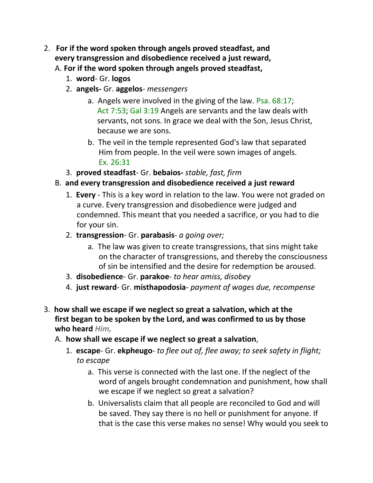- 2. **For if the word spoken through angels proved steadfast, and every transgression and disobedience received a just reward,** A. **For if the word spoken through angels proved steadfast,**
	- 1. **word** Gr. **logos**
	- 2. **angels-** Gr. **aggelos** *messengers*
		- a. Angels were involved in the giving of the law. Psa. 68:17; Act 7:53; Gal 3:19 Angels are servants and the law deals with servants, not sons. In grace we deal with the Son, Jesus Christ, because we are sons.
		- b. The veil in the temple represented God's law that separated Him from people. In the veil were sown images of angels. Ex. 26:31
	- 3. **proved steadfast** Gr. **bebaios-** *stable, fast, firm*

#### B. **and every transgression and disobedience received a just reward**

- 1. **Every** This is a key word in relation to the law. You were not graded on a curve. Every transgression and disobedience were judged and condemned. This meant that you needed a sacrifice, or you had to die for your sin.
- 2. **transgression** Gr. **parabasis** *a going over;*
	- a. The law was given to create transgressions, that sins might take on the character of transgressions, and thereby the consciousness of sin be intensified and the desire for redemption be aroused.
- 3. **disobedience** Gr. **parakoe** *to hear amiss, disobey*
- 4. **just reward** Gr. **misthapodosia** *payment of wages due, recompense*
- 3. **how shall we escape if we neglect so great a salvation, which at the first began to be spoken by the Lord, and was confirmed to us by those who heard** *Him,*
	- A. **how shall we escape if we neglect so great a salvation**,
		- 1. **escape** Gr. **ekpheugo** *to flee out of, flee away; to seek safety in flight; to escape*
			- a. This verse is connected with the last one. If the neglect of the word of angels brought condemnation and punishment, how shall we escape if we neglect so great a salvation?
			- b. Universalists claim that all people are reconciled to God and will be saved. They say there is no hell or punishment for anyone. If that is the case this verse makes no sense! Why would you seek to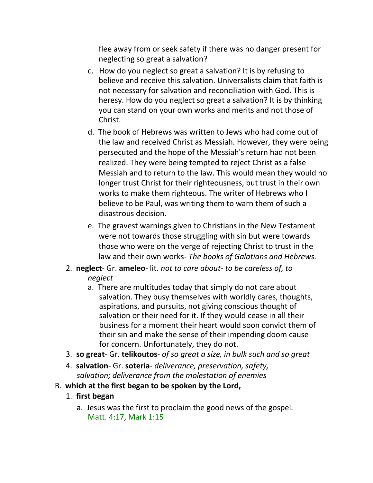flee away from or seek safety if there was no danger present for neglecting so great a salvation?

- c. How do you neglect so great a salvation? It is by refusing to believe and receive this salvation. Universalists claim that faith is not necessary for salvation and reconciliation with God. This is heresy. How do you neglect so great a salvation? It is by thinking you can stand on your own works and merits and not those of Christ.
- d. The book of Hebrews was written to Jews who had come out of the law and received Christ as Messiah. However, they were being persecuted and the hope of the Messiah's return had not been realized. They were being tempted to reject Christ as a false Messiah and to return to the law. This would mean they would no longer trust Christ for their righteousness, but trust in their own works to make them righteous. The writer of Hebrews who I believe to be Paul, was writing them to warn them of such a disastrous decision.
- e. The gravest warnings given to Christians in the New Testament were not towards those struggling with sin but were towards those who were on the verge of rejecting Christ to trust in the law and their own works- *The books of Galatians and Hebrews.*
- 2. **neglect** Gr. **ameleo** lit. *not to care about- to be careless of, to neglect*
	- a. There are multitudes today that simply do not care about salvation. They busy themselves with worldly cares, thoughts, aspirations, and pursuits, not giving conscious thought of salvation or their need for it. If they would cease in all their business for a moment their heart would soon convict them of their sin and make the sense of their impending doom cause for concern. Unfortunately, they do not.
- 3. **so great** Gr. **telikoutos** *of so great a size, in bulk such and so great*
- 4. **salvation** Gr. **soteria** *deliverance, preservation, safety, salvation; deliverance from the molestation of enemies*
- B. **which at the first began to be spoken by the Lord,**
	- 1. **first began**
		- a. Jesus was the first to proclaim the good news of the gospel. Matt. 4:17, Mark 1:15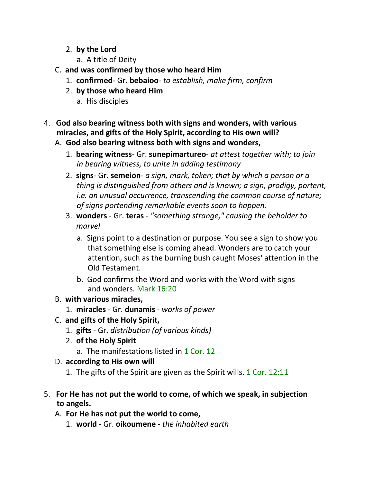- 2. **by the Lord**
	- a. A title of Deity
- C. **and was confirmed by those who heard Him**
	- 1. **confirmed** Gr. **bebaioo** *to establish, make firm, confirm*
	- 2. **by those who heard Him**
		- a. His disciples
- 4. **God also bearing witness both with signs and wonders, with various miracles, and gifts of the Holy Spirit, according to His own will?**
	- A. **God also bearing witness both with signs and wonders,**
		- 1. **bearing witness** Gr. **sunepimartureo** *at attest together with; to join in bearing witness, to unite in adding testimony*
		- 2. **signs** Gr. **semeion** *a sign, mark, token; that by which a person or a thing is distinguished from others and is known; a sign, prodigy, portent, i.e. an unusual occurrence, transcending the common course of nature; of signs portending remarkable events soon to happen.*
		- 3. **wonders** Gr. **teras** *"something strange," causing the beholder to marvel*
			- a. Signs point to a destination or purpose. You see a sign to show you that something else is coming ahead. Wonders are to catch your attention, such as the burning bush caught Moses' attention in the Old Testament.
			- b. God confirms the Word and works with the Word with signs and wonders. Mark 16:20
	- B. **with various miracles,**
		- 1. **miracles** Gr. **dunamis** *works of power*
	- C. **and gifts of the Holy Spirit,**
		- 1. **gifts**  Gr. *distribution (of various kinds)*
		- 2. **of the Holy Spirit**
			- a. The manifestations listed in 1 Cor. 12
	- D. **according to His own will**
		- 1. The gifts of the Spirit are given as the Spirit wills. 1 Cor. 12:11
- 5. **For He has not put the world to come, of which we speak, in subjection to angels.**
	- A. **For He has not put the world to come,**
		- 1. **world** Gr. **oikoumene** *the inhabited earth*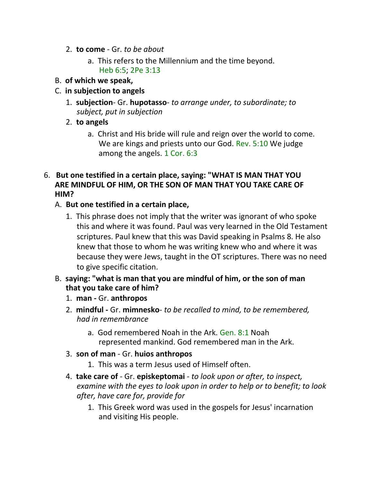- 2. **to come** Gr. *to be about*
	- a. This refers to the Millennium and the time beyond. Heb 6:5; 2Pe 3:13
- B. **of which we speak,**
- C. **in subjection to angels**
	- 1. **subjection** Gr. **hupotasso** *to arrange under, to subordinate; to subject, put in subjection*
	- 2. **to angels**
		- a. Christ and His bride will rule and reign over the world to come. We are kings and priests unto our God. Rev. 5:10 We judge among the angels. 1 Cor. 6:3
- 6. **But one testified in a certain place, saying: "WHAT IS MAN THAT YOU ARE MINDFUL OF HIM, OR THE SON OF MAN THAT YOU TAKE CARE OF HIM?**

## A. **But one testified in a certain place,**

- 1. This phrase does not imply that the writer was ignorant of who spoke this and where it was found. Paul was very learned in the Old Testament scriptures. Paul knew that this was David speaking in Psalms 8. He also knew that those to whom he was writing knew who and where it was because they were Jews, taught in the OT scriptures. There was no need to give specific citation.
- B. **saying: "what is man that you are mindful of him, or the son of man that you take care of him?**
	- 1. **man -** Gr. **anthropos**
	- 2. **mindful -** Gr. **mimnesko** *to be recalled to mind, to be remembered, had in remembrance*
		- a. God remembered Noah in the Ark. Gen. 8:1 Noah represented mankind. God remembered man in the Ark.
	- 3. **son of man** Gr. **huios anthropos**
		- 1. This was a term Jesus used of Himself often.
	- 4. **take care of** Gr. **episkeptomai** *to look upon or after, to inspect, examine with the eyes to look upon in order to help or to benefit; to look after, have care for, provide for*
		- 1. This Greek word was used in the gospels for Jesus' incarnation and visiting His people.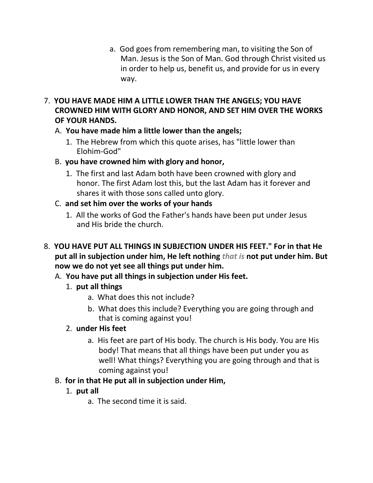- a. God goes from remembering man, to visiting the Son of Man. Jesus is the Son of Man. God through Christ visited us in order to help us, benefit us, and provide for us in every way.
- 7. **YOU HAVE MADE HIM A LITTLE LOWER THAN THE ANGELS; YOU HAVE CROWNED HIM WITH GLORY AND HONOR, AND SET HIM OVER THE WORKS OF YOUR HANDS.**
	- A. **You have made him a little lower than the angels;**
		- 1. The Hebrew from which this quote arises, has "little lower than Elohim-God"
	- B. **you have crowned him with glory and honor,**
		- 1. The first and last Adam both have been crowned with glory and honor. The first Adam lost this, but the last Adam has it forever and shares it with those sons called unto glory.
	- C. **and set him over the works of your hands**
		- 1. All the works of God the Father's hands have been put under Jesus and His bride the church.
- 8. **YOU HAVE PUT ALL THINGS IN SUBJECTION UNDER HIS FEET." For in that He put all in subjection under him, He left nothing** *that is* **not put under him. But now we do not yet see all things put under him.**
	- A. **You have put all things in subjection under His feet.**
		- 1. **put all things**
			- a. What does this not include?
			- b. What does this include? Everything you are going through and that is coming against you!

#### 2. **under His feet**

a. His feet are part of His body. The church is His body. You are His body! That means that all things have been put under you as well! What things? Everything you are going through and that is coming against you!

## B. **for in that He put all in subjection under Him,**

## 1. **put all**

a. The second time it is said.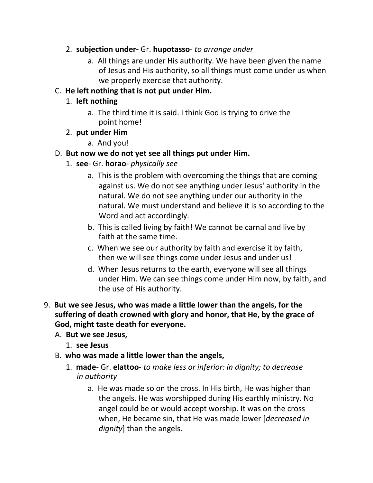- 2. **subjection under-** Gr. **hupotasso** *to arrange under*
	- a. All things are under His authority. We have been given the name of Jesus and His authority, so all things must come under us when we properly exercise that authority.
- C. **He left nothing that is not put under Him.**

# 1. **left nothing**

- a. The third time it is said. I think God is trying to drive the point home!
- 2. **put under Him**
	- a. And you!
- D. **But now we do not yet see all things put under Him.**
	- 1. **see** Gr. **horao** *physically see*
		- a. This is the problem with overcoming the things that are coming against us. We do not see anything under Jesus' authority in the natural. We do not see anything under our authority in the natural. We must understand and believe it is so according to the Word and act accordingly.
		- b. This is called living by faith! We cannot be carnal and live by faith at the same time.
		- c. When we see our authority by faith and exercise it by faith, then we will see things come under Jesus and under us!
		- d. When Jesus returns to the earth, everyone will see all things under Him. We can see things come under Him now, by faith, and the use of His authority.
- 9. **But we see Jesus, who was made a little lower than the angels, for the suffering of death crowned with glory and honor, that He, by the grace of God, might taste death for everyone.**
	- A. **But we see Jesus,**
		- 1. **see Jesus**
	- B. **who was made a little lower than the angels,**
		- 1. **made** Gr. **elattoo** *to make less or inferior: in dignity; to decrease in authority*
			- a. He was made so on the cross. In His birth, He was higher than the angels. He was worshipped during His earthly ministry. No angel could be or would accept worship. It was on the cross when, He became sin, that He was made lower [*decreased in dignity*] than the angels.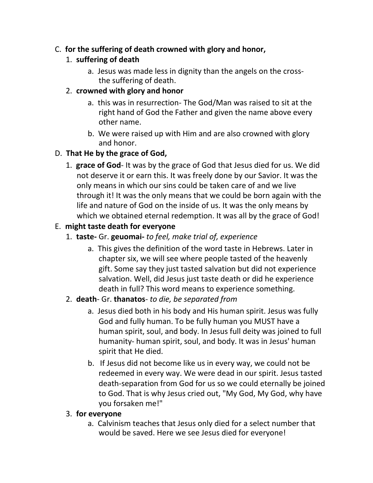## C. **for the suffering of death crowned with glory and honor,**

# 1. **suffering of death**

a. Jesus was made less in dignity than the angels on the crossthe suffering of death.

## 2. **crowned with glory and honor**

- a. this was in resurrection- The God/Man was raised to sit at the right hand of God the Father and given the name above every other name.
- b. We were raised up with Him and are also crowned with glory and honor.

# D. **That He by the grace of God,**

1. **grace of God**- It was by the grace of God that Jesus died for us. We did not deserve it or earn this. It was freely done by our Savior. It was the only means in which our sins could be taken care of and we live through it! It was the only means that we could be born again with the life and nature of God on the inside of us. It was the only means by which we obtained eternal redemption. It was all by the grace of God!

# E. **might taste death for everyone**

- 1. **taste-** Gr. **geuomai-** *to feel, make trial of, experience*
	- a. This gives the definition of the word taste in Hebrews. Later in chapter six, we will see where people tasted of the heavenly gift. Some say they just tasted salvation but did not experience salvation. Well, did Jesus just taste death or did he experience death in full? This word means to experience something.

## 2. **death**- Gr. **thanatos**- *to die, be separated from*

- a. Jesus died both in his body and His human spirit. Jesus was fully God and fully human. To be fully human you MUST have a human spirit, soul, and body. In Jesus full deity was joined to full humanity- human spirit, soul, and body. It was in Jesus' human spirit that He died.
- b. If Jesus did not become like us in every way, we could not be redeemed in every way. We were dead in our spirit. Jesus tasted death-separation from God for us so we could eternally be joined to God. That is why Jesus cried out, "My God, My God, why have you forsaken me!"

## 3. **for everyone**

a. Calvinism teaches that Jesus only died for a select number that would be saved. Here we see Jesus died for everyone!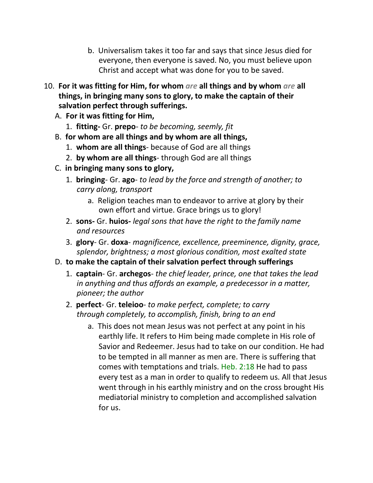- b. Universalism takes it too far and says that since Jesus died for everyone, then everyone is saved. No, you must believe upon Christ and accept what was done for you to be saved.
- 10. **For it was fitting for Him, for whom** *are* **all things and by whom** *are* **all things, in bringing many sons to glory, to make the captain of their salvation perfect through sufferings.**
	- A. **For it was fitting for Him,**
		- 1. **fitting-** Gr. **prepo** *to be becoming, seemly, fit*
	- B. **for whom are all things and by whom are all things,**
		- 1. **whom are all things** because of God are all things
		- 2. **by whom are all things** through God are all things
	- C. **in bringing many sons to glory,**
		- 1. **bringing** Gr. **ago** *to lead by the force and strength of another; to carry along, transport*
			- a. Religion teaches man to endeavor to arrive at glory by their own effort and virtue. Grace brings us to glory!
		- 2. **sons-** Gr. **huios-** *legal sons that have the right to the family name and resources*
		- 3. **glory** Gr. **doxa** *magnificence, excellence, preeminence, dignity, grace, splendor, brightness; a most glorious condition, most exalted state*
	- D. **to make the captain of their salvation perfect through sufferings**
		- 1. **captain** Gr. **archegos** *the chief leader, prince, one that takes the lead in anything and thus affords an example, a predecessor in a matter, pioneer; the author*
		- 2. **perfect** Gr. **teleioo** *to make perfect, complete; to carry through completely, to accomplish, finish, bring to an end*
			- a. This does not mean Jesus was not perfect at any point in his earthly life. It refers to Him being made complete in His role of Savior and Redeemer. Jesus had to take on our condition. He had to be tempted in all manner as men are. There is suffering that comes with temptations and trials. Heb. 2:18 He had to pass every test as a man in order to qualify to redeem us. All that Jesus went through in his earthly ministry and on the cross brought His mediatorial ministry to completion and accomplished salvation for us.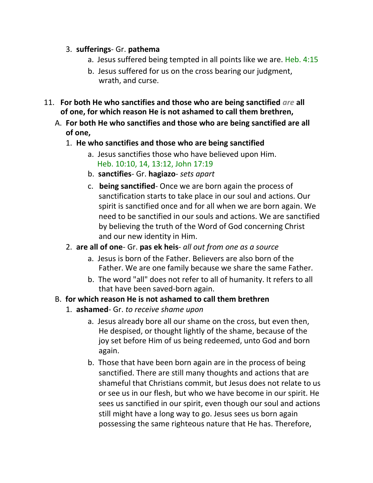#### 3. **sufferings**- Gr. **pathema**

- a. Jesus suffered being tempted in all points like we are. Heb. 4:15
- b. Jesus suffered for us on the cross bearing our judgment, wrath, and curse.
- 11. **For both He who sanctifies and those who are being sanctified** *are* **all of one, for which reason He is not ashamed to call them brethren,**
	- A. **For both He who sanctifies and those who are being sanctified are all of one,**
		- 1. **He who sanctifies and those who are being sanctified**
			- a. Jesus sanctifies those who have believed upon Him. Heb. 10:10, 14, 13:12, John 17:19
			- b. **sanctifies** Gr. **hagiazo** *sets apart*
			- c. **being sanctified** Once we are born again the process of sanctification starts to take place in our soul and actions. Our spirit is sanctified once and for all when we are born again. We need to be sanctified in our souls and actions. We are sanctified by believing the truth of the Word of God concerning Christ and our new identity in Him.
		- 2. **are all of one** Gr. **pas ek heis** *all out from one as a source*
			- a. Jesus is born of the Father. Believers are also born of the Father. We are one family because we share the same Father.
			- b. The word "all" does not refer to all of humanity. It refers to all that have been saved-born again.

# B. **for which reason He is not ashamed to call them brethren**

- 1. **ashamed** Gr. *to receive shame upon*
	- a. Jesus already bore all our shame on the cross, but even then, He despised, or thought lightly of the shame, because of the joy set before Him of us being redeemed, unto God and born again.
	- b. Those that have been born again are in the process of being sanctified. There are still many thoughts and actions that are shameful that Christians commit, but Jesus does not relate to us or see us in our flesh, but who we have become in our spirit. He sees us sanctified in our spirit, even though our soul and actions still might have a long way to go. Jesus sees us born again possessing the same righteous nature that He has. Therefore,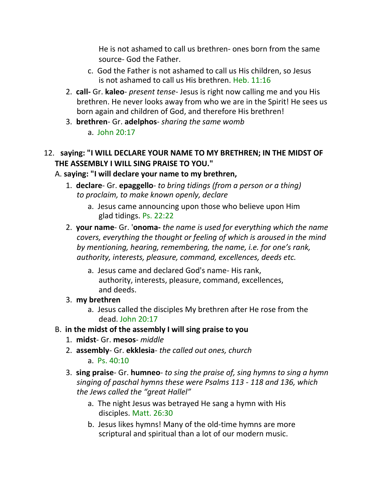He is not ashamed to call us brethren- ones born from the same source- God the Father.

- c. God the Father is not ashamed to call us His children, so Jesus is not ashamed to call us His brethren. Heb. 11:16
- 2. **call-** Gr. **kaleo** *present tense* Jesus is right now calling me and you His brethren. He never looks away from who we are in the Spirit! He sees us born again and children of God, and therefore His brethren!
- 3. **brethren** Gr. **adelphos** *sharing the same womb* a. John  $20:17$
- 12. **saying: "I WILL DECLARE YOUR NAME TO MY BRETHREN; IN THE MIDST OF THE ASSEMBLY I WILL SING PRAISE TO YOU."**

### A. **saying: "I will declare your name to my brethren,**

- 1. **declare** Gr. **epaggello** *to bring tidings (from a person or a thing) to proclaim, to make known openly, declare*
	- a. Jesus came announcing upon those who believe upon Him glad tidings. Ps. 22:22
- 2. **your name** Gr. '**onoma-** *the name is used for everything which the name covers, everything the thought or feeling of which is aroused in the mind by mentioning, hearing, remembering, the name, i.e. for one's rank, authority, interests, pleasure, command, excellences, deeds etc.*
	- a. Jesus came and declared God's name- His rank, authority, interests, pleasure, command, excellences, and deeds.
- 3. **my brethren**
	- a. Jesus called the disciples My brethren after He rose from the dead. John 20:17
- B. **in the midst of the assembly I will sing praise to you**
	- 1. **midst** Gr. **mesos** *middle*
	- 2. **assembly** Gr. **ekklesia** *the called out ones, church*
		- a. Ps. 40:10
	- 3. **sing praise** Gr. **humneo** *to sing the praise of, sing hymns to sing a hymn singing of paschal hymns these were Psalms 113 - 118 and 136, which the Jews called the "great Hallel"*
		- a. The night Jesus was betrayed He sang a hymn with His disciples. Matt. 26:30
		- b. Jesus likes hymns! Many of the old-time hymns are more scriptural and spiritual than a lot of our modern music.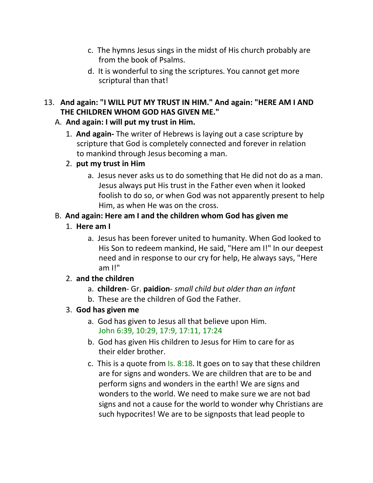- c. The hymns Jesus sings in the midst of His church probably are from the book of Psalms.
- d. It is wonderful to sing the scriptures. You cannot get more scriptural than that!

### 13. **And again: "I WILL PUT MY TRUST IN HIM." And again: "HERE AM I AND THE CHILDREN WHOM GOD HAS GIVEN ME."**

### A. **And again: I will put my trust in Him.**

1. **And again-** The writer of Hebrews is laying out a case scripture by scripture that God is completely connected and forever in relation to mankind through Jesus becoming a man.

### 2. **put my trust in Him**

a. Jesus never asks us to do something that He did not do as a man. Jesus always put His trust in the Father even when it looked foolish to do so, or when God was not apparently present to help Him, as when He was on the cross.

## B. **And again: Here am I and the children whom God has given me**

### 1. **Here am I**

a. Jesus has been forever united to humanity. When God looked to His Son to redeem mankind, He said, "Here am I!" In our deepest need and in response to our cry for help, He always says, "Here am I!"

#### 2. **and the children**

- a. **children** Gr. **paidion** *small child but older than an infant*
- b. These are the children of God the Father.

#### 3. **God has given me**

- a. God has given to Jesus all that believe upon Him. John 6:39, 10:29, 17:9, 17:11, 17:24
- b. God has given His children to Jesus for Him to care for as their elder brother.
- c. This is a quote from Is. 8:18. It goes on to say that these children are for signs and wonders. We are children that are to be and perform signs and wonders in the earth! We are signs and wonders to the world. We need to make sure we are not bad signs and not a cause for the world to wonder why Christians are such hypocrites! We are to be signposts that lead people to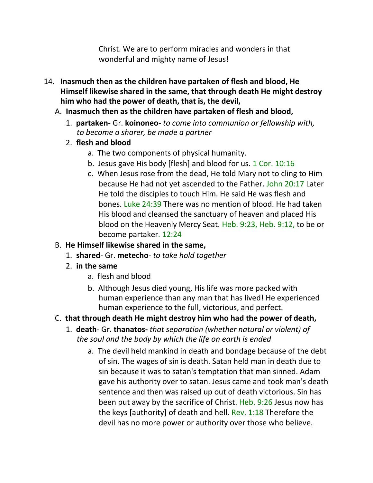Christ. We are to perform miracles and wonders in that wonderful and mighty name of Jesus!

- 14. **Inasmuch then as the children have partaken of flesh and blood, He Himself likewise shared in the same, that through death He might destroy him who had the power of death, that is, the devil,**
	- A. **Inasmuch then as the children have partaken of flesh and blood,**
		- 1. **partaken** Gr. **koinoneo** *to come into communion or fellowship with, to become a sharer, be made a partner*
		- 2. **flesh and blood**
			- a. The two components of physical humanity.
			- b. Jesus gave His body [flesh] and blood for us. 1 Cor. 10:16
			- c. When Jesus rose from the dead, He told Mary not to cling to Him because He had not yet ascended to the Father. John 20:17 Later He told the disciples to touch Him. He said He was flesh and bones. Luke 24:39 There was no mention of blood. He had taken His blood and cleansed the sanctuary of heaven and placed His blood on the Heavenly Mercy Seat. Heb. 9:23, Heb. 9:12, to be or become partaker. 12:24
	- B. **He Himself likewise shared in the same,**
		- 1. **shared** Gr. **metecho** *to take hold together*
		- 2. **in the same**
			- a. flesh and blood
			- b. Although Jesus died young, His life was more packed with human experience than any man that has lived! He experienced human experience to the full, victorious, and perfect.
	- C. **that through death He might destroy him who had the power of death,**
		- 1. **death** Gr. **thanatos-** *that separation (whether natural or violent) of the soul and the body by which the life on earth is ended*
			- a. The devil held mankind in death and bondage because of the debt of sin. The wages of sin is death. Satan held man in death due to sin because it was to satan's temptation that man sinned. Adam gave his authority over to satan. Jesus came and took man's death sentence and then was raised up out of death victorious. Sin has been put away by the sacrifice of Christ. Heb. 9:26 Jesus now has the keys [authority] of death and hell. Rev. 1:18 Therefore the devil has no more power or authority over those who believe.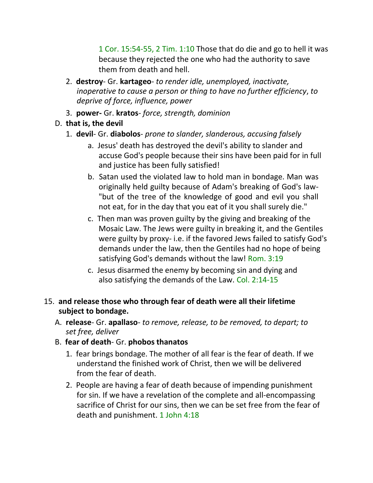1 Cor. 15:54-55, 2 Tim. 1:10 Those that do die and go to hell it was because they rejected the one who had the authority to save them from death and hell.

- 2. **destroy** Gr. **kartageo** *to render idle, unemployed, inactivate, inoperative to cause a person or thing to have no further efficiency*, *to deprive of force, influence, power*
- 3. **power-** Gr. **kratos** *force, strength, dominion*
- D. **that is, the devil**
	- 1. **devil** Gr. **diabolos** *prone to slander, slanderous, accusing falsely*
		- a. Jesus' death has destroyed the devil's ability to slander and accuse God's people because their sins have been paid for in full and justice has been fully satisfied!
		- b. Satan used the violated law to hold man in bondage. Man was originally held guilty because of Adam's breaking of God's law- "but of the tree of the knowledge of good and evil you shall not eat, for in the day that you eat of it you shall surely die."
		- c. Then man was proven guilty by the giving and breaking of the Mosaic Law. The Jews were guilty in breaking it, and the Gentiles were guilty by proxy- i.e. if the favored Jews failed to satisfy God's demands under the law, then the Gentiles had no hope of being satisfying God's demands without the law! Rom. 3:19
		- c. Jesus disarmed the enemy by becoming sin and dying and also satisfying the demands of the Law. Col. 2:14-15
- 15. **and release those who through fear of death were all their lifetime subject to bondage.**
	- A. **release** Gr. **apallaso** *to remove, release, to be removed, to depart; to set free, deliver*
	- B. **fear of death** Gr. **phobos thanatos**
		- 1. fear brings bondage. The mother of all fear is the fear of death. If we understand the finished work of Christ, then we will be delivered from the fear of death.
		- 2. People are having a fear of death because of impending punishment for sin. If we have a revelation of the complete and all-encompassing sacrifice of Christ for our sins, then we can be set free from the fear of death and punishment. 1 John 4:18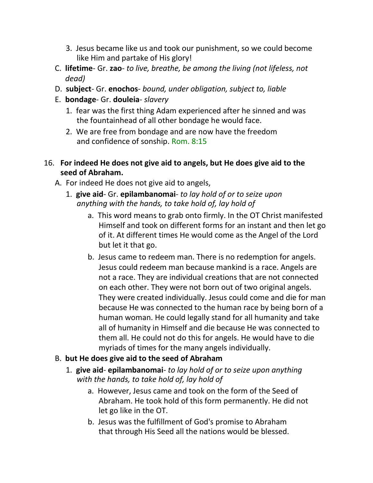- 3. Jesus became like us and took our punishment, so we could become like Him and partake of His glory!
- C. **lifetime** Gr. **zao** *to live, breathe, be among the living (not lifeless, not dead)*
- D. **subject** Gr. **enochos** *bound, under obligation, subject to, liable*
- E. **bondage** Gr. **douleia** *slavery*
	- 1. fear was the first thing Adam experienced after he sinned and was the fountainhead of all other bondage he would face.
	- 2. We are free from bondage and are now have the freedom and confidence of sonship. Rom. 8:15

### 16. **For indeed He does not give aid to angels, but He does give aid to the seed of Abraham.**

- A. For indeed He does not give aid to angels,
	- 1. **give aid** Gr. **epilambanomai** *to lay hold of or to seize upon anything with the hands, to take hold of, lay hold of*
		- a. This word means to grab onto firmly. In the OT Christ manifested Himself and took on different forms for an instant and then let go of it. At different times He would come as the Angel of the Lord but let it that go.
		- b. Jesus came to redeem man. There is no redemption for angels. Jesus could redeem man because mankind is a race. Angels are not a race. They are individual creations that are not connected on each other. They were not born out of two original angels. They were created individually. Jesus could come and die for man because He was connected to the human race by being born of a human woman. He could legally stand for all humanity and take all of humanity in Himself and die because He was connected to them all. He could not do this for angels. He would have to die myriads of times for the many angels individually.

# B. **but He does give aid to the seed of Abraham**

- 1. **give aid epilambanomai** *to lay hold of or to seize upon anything with the hands, to take hold of, lay hold of*
	- a. However, Jesus came and took on the form of the Seed of Abraham. He took hold of this form permanently. He did not let go like in the OT.
	- b. Jesus was the fulfillment of God's promise to Abraham that through His Seed all the nations would be blessed.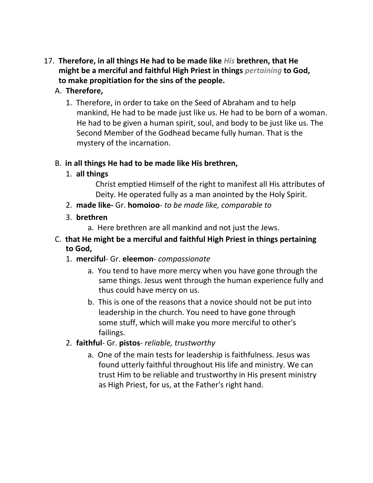- 17. **Therefore, in all things He had to be made like** *His* **brethren, that He might be a merciful and faithful High Priest in things** *pertaining* **to God, to make propitiation for the sins of the people.**
	- A. **Therefore,**
		- 1. Therefore, in order to take on the Seed of Abraham and to help mankind, He had to be made just like us. He had to be born of a woman. He had to be given a human spirit, soul, and body to be just like us. The Second Member of the Godhead became fully human. That is the mystery of the incarnation.

## B. **in all things He had to be made like His brethren,**

1. **all things**

Christ emptied Himself of the right to manifest all His attributes of Deity. He operated fully as a man anointed by the Holy Spirit.

- 2. **made like-** Gr. **homoioo** *to be made like, comparable to*
- 3. **brethren**
	- a. Here brethren are all mankind and not just the Jews.
- C. **that He might be a merciful and faithful High Priest in things pertaining to God,**
	- 1. **merciful** Gr. **eleemon** *compassionate*
		- a. You tend to have more mercy when you have gone through the same things. Jesus went through the human experience fully and thus could have mercy on us.
		- b. This is one of the reasons that a novice should not be put into leadership in the church. You need to have gone through some stuff, which will make you more merciful to other's failings.
	- 2. **faithful** Gr. **pistos** *reliable, trustworthy*
		- a. One of the main tests for leadership is faithfulness. Jesus was found utterly faithful throughout His life and ministry. We can trust Him to be reliable and trustworthy in His present ministry as High Priest, for us, at the Father's right hand.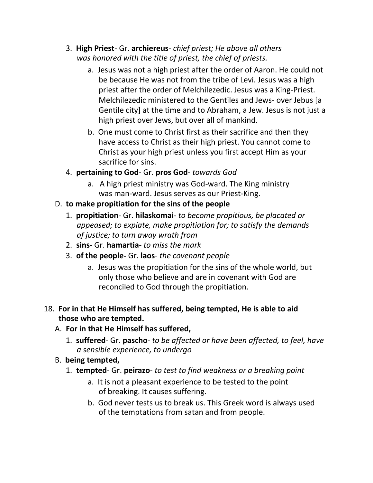- 3. **High Priest** Gr. **archiereus** *chief priest; He above all others was honored with the title of priest, the chief of priests.*
	- a. Jesus was not a high priest after the order of Aaron. He could not be because He was not from the tribe of Levi. Jesus was a high priest after the order of Melchilezedic. Jesus was a King-Priest. Melchilezedic ministered to the Gentiles and Jews- over Jebus [a Gentile city] at the time and to Abraham, a Jew. Jesus is not just a high priest over Jews, but over all of mankind.
	- b. One must come to Christ first as their sacrifice and then they have access to Christ as their high priest. You cannot come to Christ as your high priest unless you first accept Him as your sacrifice for sins.
- 4. **pertaining to God** Gr. **pros God** *towards God*
	- a. A high priest ministry was God-ward. The King ministry was man-ward. Jesus serves as our Priest-King.
- D. **to make propitiation for the sins of the people**
	- 1. **propitiation** Gr. **hilaskomai** *to become propitious, be placated or appeased; to expiate, make propitiation for; to satisfy the demands of justice; to turn away wrath from*
	- 2. **sins** Gr. **hamartia** *to miss the mark*
	- 3. **of the people-** Gr. **laos** *the covenant people*
		- a. Jesus was the propitiation for the sins of the whole world, but only those who believe and are in covenant with God are reconciled to God through the propitiation.

## 18. **For in that He Himself has suffered, being tempted, He is able to aid those who are tempted.**

- A. **For in that He Himself has suffered,**
	- 1. **suffered** Gr. **pascho** *to be affected or have been affected, to feel, have a sensible experience, to undergo*
- B. **being tempted,**
	- 1. **tempted** Gr. **peirazo** *to test to find weakness or a breaking point*
		- a. It is not a pleasant experience to be tested to the point of breaking. It causes suffering.
		- b. God never tests us to break us. This Greek word is always used of the temptations from satan and from people.